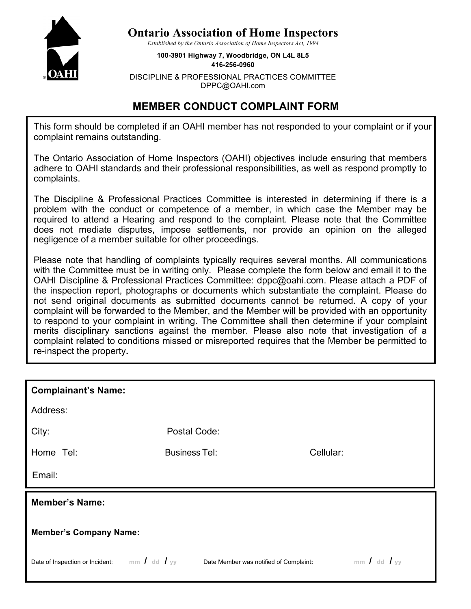

## **Ontario Association of Home Inspectors**

*Established by the Ontario Association of Home Inspectors Act, 1994*

**100-3901 Highway 7, Woodbridge, ON L4L 8L5 416-256-0960**

DISCIPLINE & PROFESSIONAL PRACTICES COMMITTEE DPPC@OAHI.com

## **MEMBER CONDUCT COMPLAINT FORM**

This form should be completed if an OAHI member has not responded to your complaint or if your complaint remains outstanding.

The Ontario Association of Home Inspectors (OAHI) objectives include ensuring that members adhere to OAHI standards and their professional responsibilities, as well as respond promptly to complaints.

The Discipline & Professional Practices Committee is interested in determining if there is a problem with the conduct or competence of a member, in which case the Member may be required to attend a Hearing and respond to the complaint. Please note that the Committee does not mediate disputes, impose settlements, nor provide an opinion on the alleged negligence of a member suitable for other proceedings.

Please note that handling of complaints typically requires several months. All communications with the Committee must be in writing only. Please complete the form below and email it to the OAHI Discipline & Professional Practices Committee: dppc@oahi.com. Please attach a PDF of the inspection report, photographs or documents which substantiate the complaint. Please do not send original documents as submitted documents cannot be returned. A copy of your complaint will be forwarded to the Member, and the Member will be provided with an opportunity to respond to your complaint in writing. The Committee shall then determine if your complaint merits disciplinary sanctions against the member. Please also note that investigation of a complaint related to conditions missed or misreported requires that the Member be permitted to re-inspect the property**.** 

| <b>Complainant's Name:</b>    |                      |           |  |
|-------------------------------|----------------------|-----------|--|
| Address:                      |                      |           |  |
| City:                         | Postal Code:         |           |  |
| Home Tel:                     | <b>Business Tel:</b> | Cellular: |  |
| Email:                        |                      |           |  |
| <b>Member's Name:</b>         |                      |           |  |
| <b>Member's Company Name:</b> |                      |           |  |
|                               |                      |           |  |